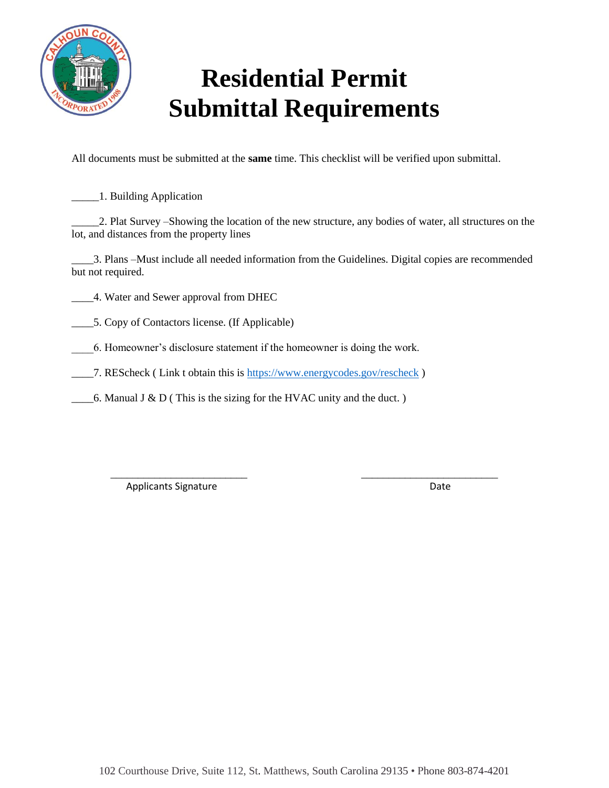

## **Residential Permit Submittal Requirements**

All documents must be submitted at the **same** time. This checklist will be verified upon submittal.

\_\_\_\_\_1. Building Application

\_\_\_\_\_2. Plat Survey –Showing the location of the new structure, any bodies of water, all structures on the lot, and distances from the property lines

\_\_\_\_3. Plans –Must include all needed information from the Guidelines. Digital copies are recommended but not required.

\_\_\_\_\_\_\_\_\_\_\_\_\_\_\_\_\_\_\_\_\_\_\_\_\_ \_\_\_\_\_\_\_\_\_\_\_\_\_\_\_\_\_\_\_\_\_\_\_\_\_

\_\_\_\_4. Water and Sewer approval from DHEC

\_\_\_\_5. Copy of Contactors license. (If Applicable)

\_\_\_\_6. Homeowner's disclosure statement if the homeowner is doing the work.

\_\_\_\_7. REScheck ( Link t obtain this is<https://www.energycodes.gov/rescheck> )

 $\_\_\_\$ 6. Manual J & D (This is the sizing for the HVAC unity and the duct.)

Applicants Signature Date